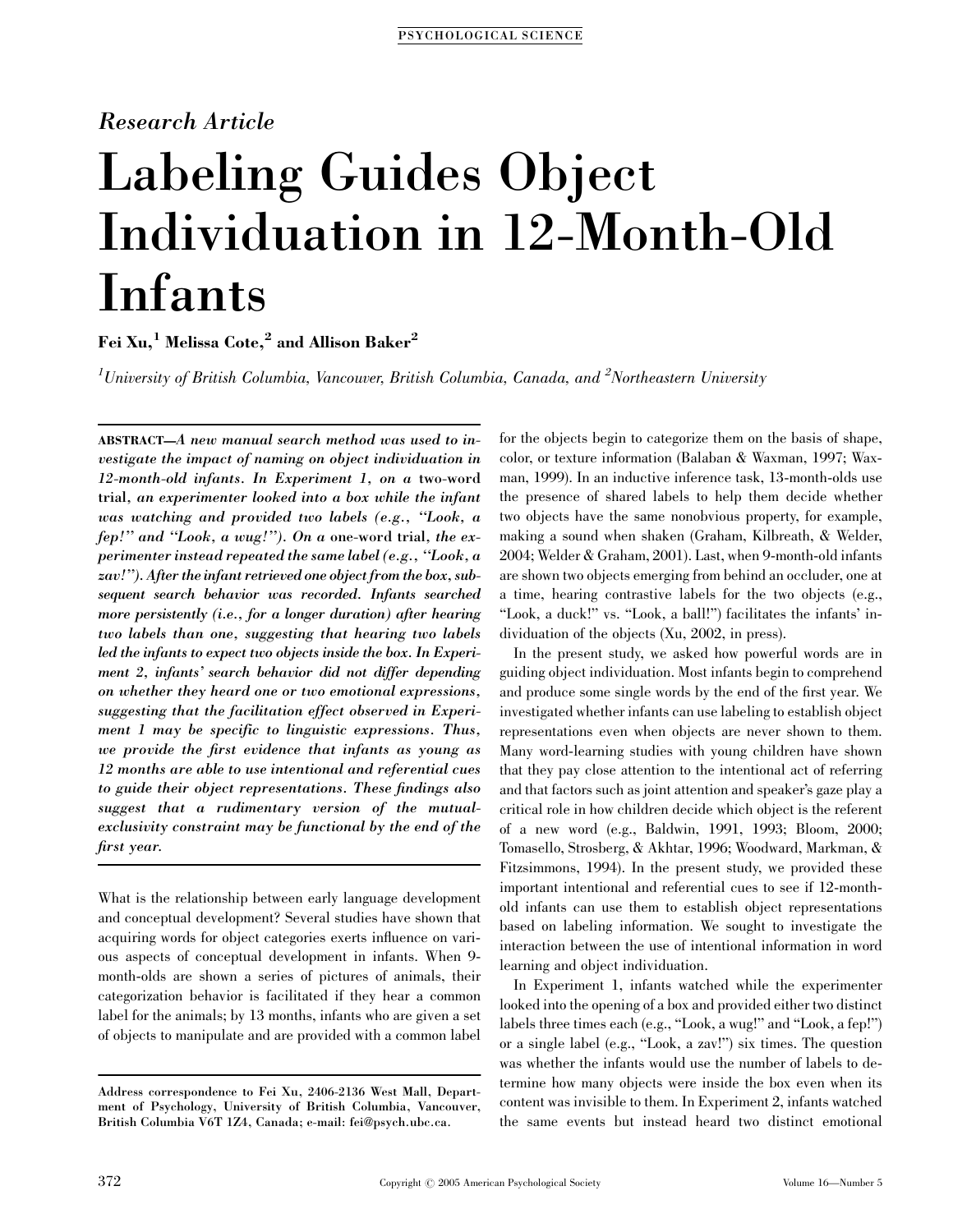# Research Article

# Labeling Guides Object Individuation in 12-Month-Old Infants

Fei Xu,<sup>1</sup> Melissa Cote,<sup>2</sup> and Allison Baker<sup>2</sup>

 $^1$ University of British Columbia, Vancouver, British Columbia, Canada, and  $^2$ Northeastern University

ABSTRACT—A new manual search method was used to investigate the impact of naming on object individuation in 12-month-old infants. In Experiment 1, on a two-word trial, an experimenter looked into a box while the infant was watching and provided two labels (e.g., ''Look, a fep!'' and ''Look, a wug!''). On a one-word trial, the experimenter instead repeated the same label (e.g., ''Look, a zav!''). After the infant retrieved one object from the box, subsequent search behavior was recorded. Infants searched more persistently (i.e., for a longer duration) after hearing two labels than one, suggesting that hearing two labels led the infants to expect two objects inside the box. In Experiment 2, infants' search behavior did not differ depending on whether they heard one or two emotional expressions, suggesting that the facilitation effect observed in Experiment 1 may be specific to linguistic expressions. Thus, we provide the first evidence that infants as young as 12 months are able to use intentional and referential cues to guide their object representations. These findings also suggest that a rudimentary version of the mutualexclusivity constraint may be functional by the end of the first year.

What is the relationship between early language development and conceptual development? Several studies have shown that acquiring words for object categories exerts influence on various aspects of conceptual development in infants. When 9 month-olds are shown a series of pictures of animals, their categorization behavior is facilitated if they hear a common label for the animals; by 13 months, infants who are given a set of objects to manipulate and are provided with a common label

for the objects begin to categorize them on the basis of shape, color, or texture information (Balaban & Waxman, 1997; Waxman, 1999). In an inductive inference task, 13-month-olds use the presence of shared labels to help them decide whether two objects have the same nonobvious property, for example, making a sound when shaken (Graham, Kilbreath, & Welder, 2004; Welder & Graham, 2001). Last, when 9-month-old infants are shown two objects emerging from behind an occluder, one at a time, hearing contrastive labels for the two objects (e.g., "Look, a duck!" vs. "Look, a ball!") facilitates the infants' individuation of the objects (Xu, 2002, in press).

In the present study, we asked how powerful words are in guiding object individuation. Most infants begin to comprehend and produce some single words by the end of the first year. We investigated whether infants can use labeling to establish object representations even when objects are never shown to them. Many word-learning studies with young children have shown that they pay close attention to the intentional act of referring and that factors such as joint attention and speaker's gaze play a critical role in how children decide which object is the referent of a new word (e.g., Baldwin, 1991, 1993; Bloom, 2000; Tomasello, Strosberg, & Akhtar, 1996; Woodward, Markman, & Fitzsimmons, 1994). In the present study, we provided these important intentional and referential cues to see if 12-monthold infants can use them to establish object representations based on labeling information. We sought to investigate the interaction between the use of intentional information in word learning and object individuation.

In Experiment 1, infants watched while the experimenter looked into the opening of a box and provided either two distinct labels three times each (e.g., ''Look, a wug!'' and ''Look, a fep!'') or a single label (e.g., ''Look, a zav!'') six times. The question was whether the infants would use the number of labels to determine how many objects were inside the box even when its content was invisible to them. In Experiment 2, infants watched the same events but instead heard two distinct emotional

Address correspondence to Fei Xu, 2406-2136 West Mall, Department of Psychology, University of British Columbia, Vancouver, British Columbia V6T 1Z4, Canada; e-mail: fei@psych.ubc.ca.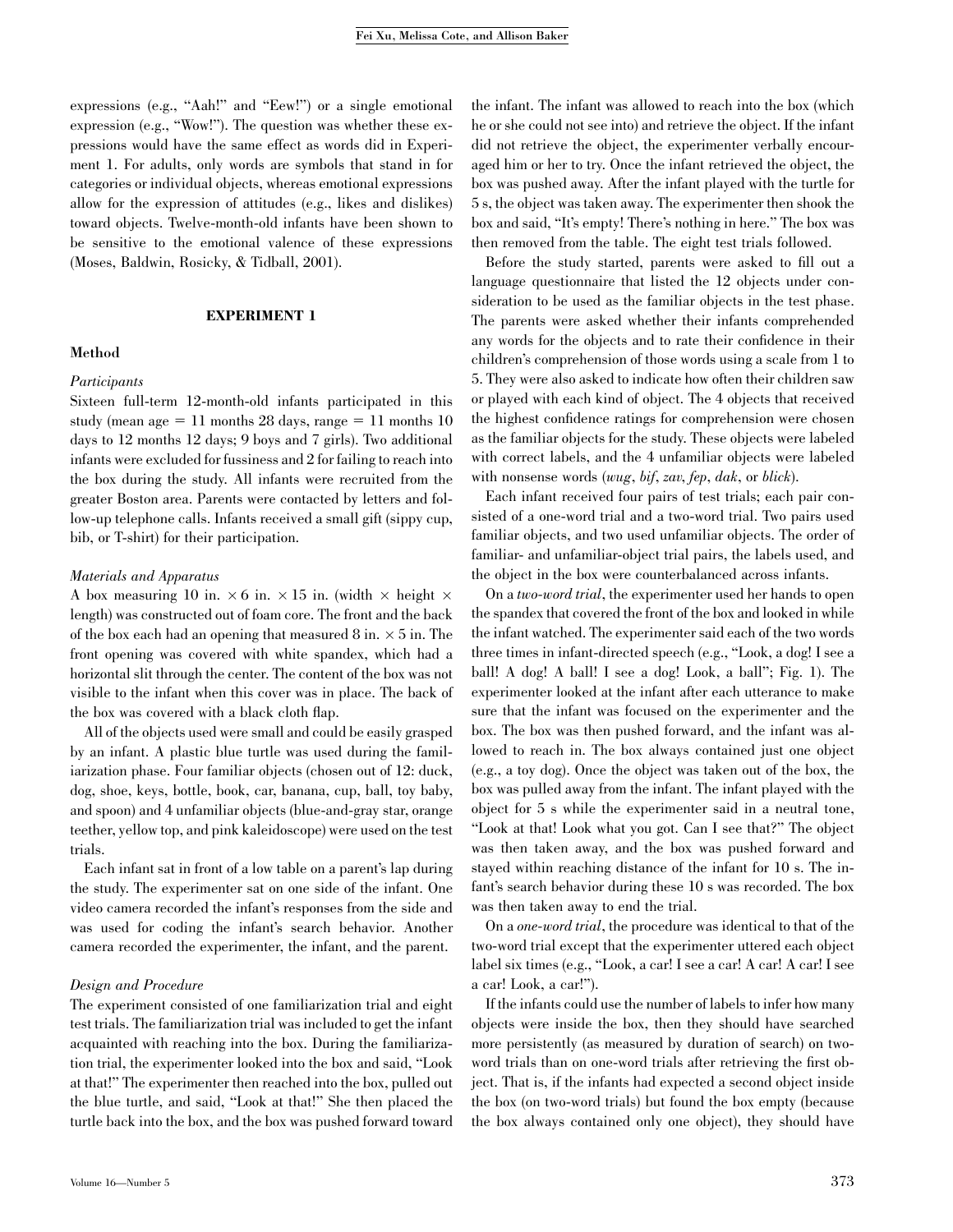expressions (e.g., "Aah!" and "Eew!") or a single emotional expression (e.g., ''Wow!''). The question was whether these expressions would have the same effect as words did in Experiment 1. For adults, only words are symbols that stand in for categories or individual objects, whereas emotional expressions allow for the expression of attitudes (e.g., likes and dislikes) toward objects. Twelve-month-old infants have been shown to be sensitive to the emotional valence of these expressions (Moses, Baldwin, Rosicky, & Tidball, 2001).

# EXPERIMENT 1

# Method

#### **Participants**

Sixteen full-term 12-month-old infants participated in this study (mean age  $= 11$  months 28 days, range  $= 11$  months 10 days to 12 months 12 days; 9 boys and 7 girls). Two additional infants were excluded for fussiness and 2 for failing to reach into the box during the study. All infants were recruited from the greater Boston area. Parents were contacted by letters and follow-up telephone calls. Infants received a small gift (sippy cup, bib, or T-shirt) for their participation.

# Materials and Apparatus

A box measuring 10 in.  $\times$  6 in.  $\times$  15 in. (width  $\times$  height  $\times$ length) was constructed out of foam core. The front and the back of the box each had an opening that measured 8 in.  $\times$  5 in. The front opening was covered with white spandex, which had a horizontal slit through the center. The content of the box was not visible to the infant when this cover was in place. The back of the box was covered with a black cloth flap.

All of the objects used were small and could be easily grasped by an infant. A plastic blue turtle was used during the familiarization phase. Four familiar objects (chosen out of 12: duck, dog, shoe, keys, bottle, book, car, banana, cup, ball, toy baby, and spoon) and 4 unfamiliar objects (blue-and-gray star, orange teether, yellow top, and pink kaleidoscope) were used on the test trials.

Each infant sat in front of a low table on a parent's lap during the study. The experimenter sat on one side of the infant. One video camera recorded the infant's responses from the side and was used for coding the infant's search behavior. Another camera recorded the experimenter, the infant, and the parent.

# Design and Procedure

The experiment consisted of one familiarization trial and eight test trials. The familiarization trial was included to get the infant acquainted with reaching into the box. During the familiarization trial, the experimenter looked into the box and said, ''Look at that!'' The experimenter then reached into the box, pulled out the blue turtle, and said, ''Look at that!'' She then placed the turtle back into the box, and the box was pushed forward toward

the infant. The infant was allowed to reach into the box (which he or she could not see into) and retrieve the object. If the infant did not retrieve the object, the experimenter verbally encouraged him or her to try. Once the infant retrieved the object, the box was pushed away. After the infant played with the turtle for 5 s, the object was taken away. The experimenter then shook the box and said, ''It's empty! There's nothing in here.'' The box was then removed from the table. The eight test trials followed.

Before the study started, parents were asked to fill out a language questionnaire that listed the 12 objects under consideration to be used as the familiar objects in the test phase. The parents were asked whether their infants comprehended any words for the objects and to rate their confidence in their children's comprehension of those words using a scale from 1 to 5. They were also asked to indicate how often their children saw or played with each kind of object. The 4 objects that received the highest confidence ratings for comprehension were chosen as the familiar objects for the study. These objects were labeled with correct labels, and the 4 unfamiliar objects were labeled with nonsense words (wug, bif, zav, fep, dak, or blick).

Each infant received four pairs of test trials; each pair consisted of a one-word trial and a two-word trial. Two pairs used familiar objects, and two used unfamiliar objects. The order of familiar- and unfamiliar-object trial pairs, the labels used, and the object in the box were counterbalanced across infants.

On a two-word trial, the experimenter used her hands to open the spandex that covered the front of the box and looked in while the infant watched. The experimenter said each of the two words three times in infant-directed speech (e.g., ''Look, a dog! I see a ball! A dog! A ball! I see a dog! Look, a ball''; Fig. 1). The experimenter looked at the infant after each utterance to make sure that the infant was focused on the experimenter and the box. The box was then pushed forward, and the infant was allowed to reach in. The box always contained just one object (e.g., a toy dog). Once the object was taken out of the box, the box was pulled away from the infant. The infant played with the object for 5 s while the experimenter said in a neutral tone, "Look at that! Look what you got. Can I see that?" The object was then taken away, and the box was pushed forward and stayed within reaching distance of the infant for 10 s. The infant's search behavior during these 10 s was recorded. The box was then taken away to end the trial.

On a one-word trial, the procedure was identical to that of the two-word trial except that the experimenter uttered each object label six times (e.g., ''Look, a car! I see a car! A car! A car! I see a car! Look, a car!'').

If the infants could use the number of labels to infer how many objects were inside the box, then they should have searched more persistently (as measured by duration of search) on twoword trials than on one-word trials after retrieving the first object. That is, if the infants had expected a second object inside the box (on two-word trials) but found the box empty (because the box always contained only one object), they should have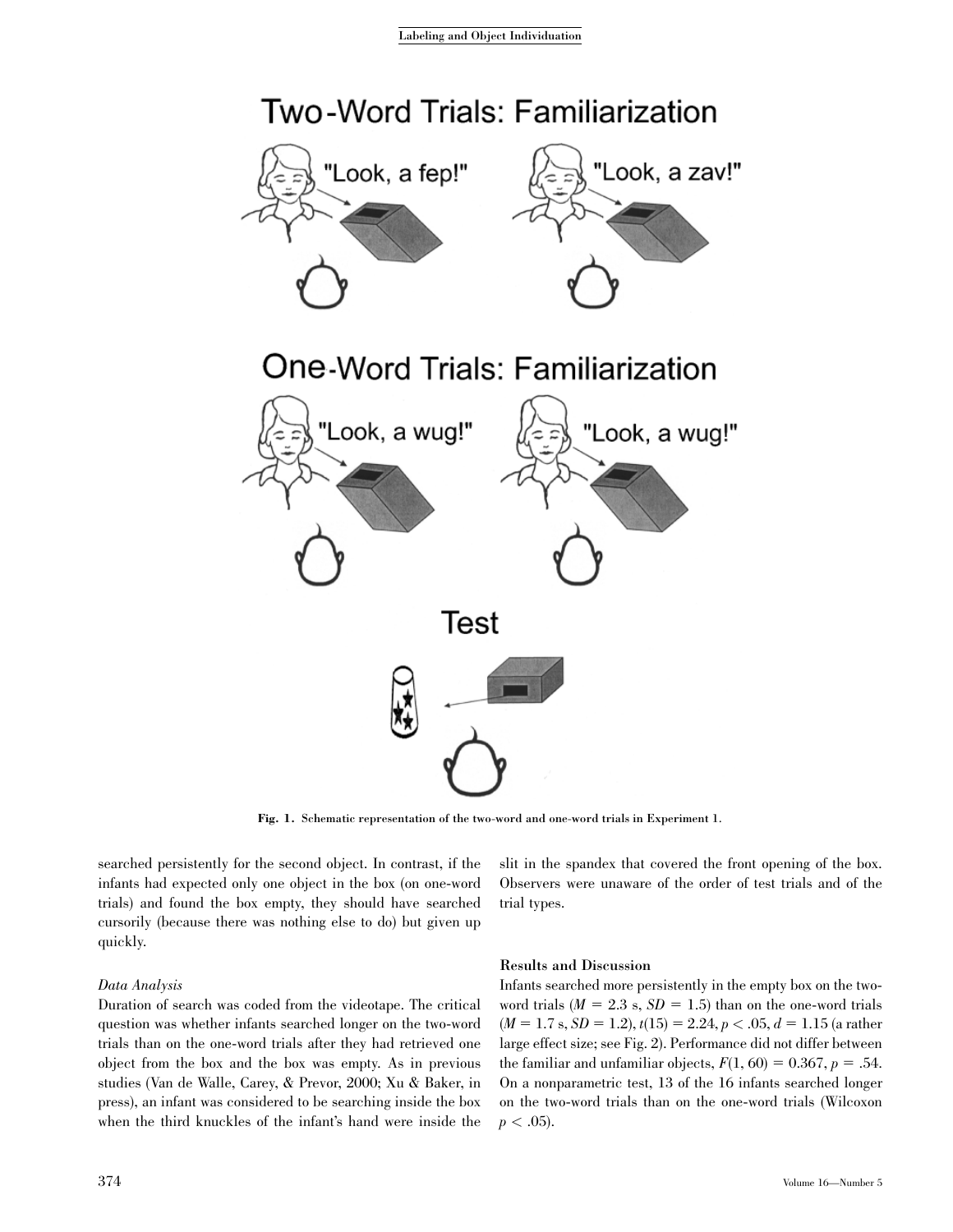

Fig. 1. Schematic representation of the two-word and one-word trials in Experiment 1.

searched persistently for the second object. In contrast, if the infants had expected only one object in the box (on one-word trials) and found the box empty, they should have searched cursorily (because there was nothing else to do) but given up quickly.

# Data Analysis

Duration of search was coded from the videotape. The critical question was whether infants searched longer on the two-word trials than on the one-word trials after they had retrieved one object from the box and the box was empty. As in previous studies (Van de Walle, Carey, & Prevor, 2000; Xu & Baker, in press), an infant was considered to be searching inside the box when the third knuckles of the infant's hand were inside the slit in the spandex that covered the front opening of the box. Observers were unaware of the order of test trials and of the trial types.

# Results and Discussion

Infants searched more persistently in the empty box on the twoword trials ( $M = 2.3$  s,  $SD = 1.5$ ) than on the one-word trials  $(M = 1.7 \text{ s}, SD = 1.2), t(15) = 2.24, p < .05, d = 1.15 \text{ (a rather)}$ large effect size; see Fig. 2). Performance did not differ between the familiar and unfamiliar objects,  $F(1, 60) = 0.367$ ,  $p = .54$ . On a nonparametric test, 13 of the 16 infants searched longer on the two-word trials than on the one-word trials (Wilcoxon  $p < .05$ ).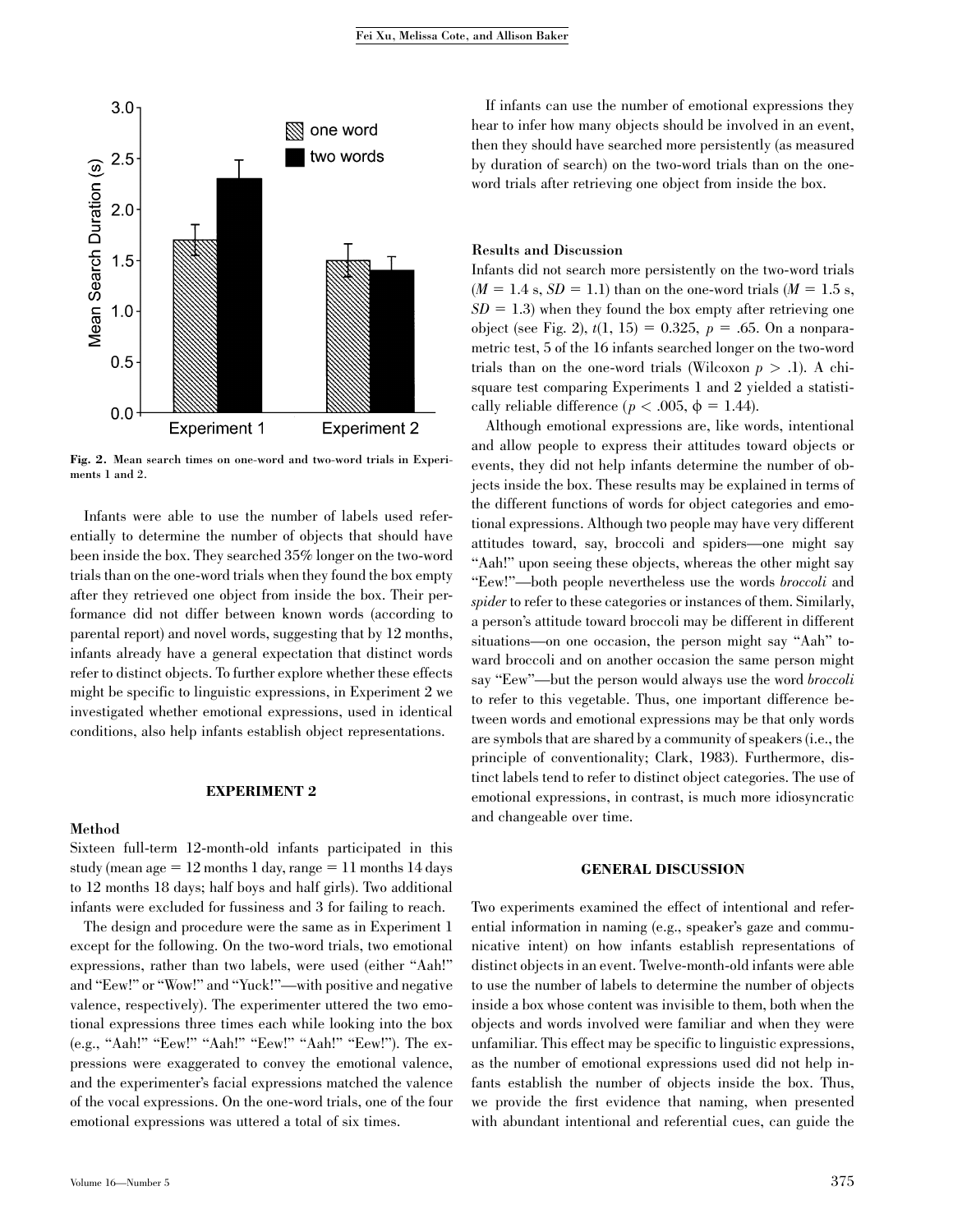

Fig. 2. Mean search times on one-word and two-word trials in Experiments 1 and 2.

Infants were able to use the number of labels used referentially to determine the number of objects that should have been inside the box. They searched 35% longer on the two-word trials than on the one-word trials when they found the box empty after they retrieved one object from inside the box. Their performance did not differ between known words (according to parental report) and novel words, suggesting that by 12 months, infants already have a general expectation that distinct words refer to distinct objects. To further explore whether these effects might be specific to linguistic expressions, in Experiment 2 we investigated whether emotional expressions, used in identical conditions, also help infants establish object representations.

#### EXPERIMENT 2

# Method

Sixteen full-term 12-month-old infants participated in this study (mean age  $= 12$  months 1 day, range  $= 11$  months 14 days to 12 months 18 days; half boys and half girls). Two additional infants were excluded for fussiness and 3 for failing to reach.

The design and procedure were the same as in Experiment 1 except for the following. On the two-word trials, two emotional expressions, rather than two labels, were used (either ''Aah!'' and ''Eew!'' or ''Wow!'' and ''Yuck!''—with positive and negative valence, respectively). The experimenter uttered the two emotional expressions three times each while looking into the box (e.g., "Aah!" "Eew!" "Aah!" "Eew!" "Aah!" "Eew!"). The expressions were exaggerated to convey the emotional valence, and the experimenter's facial expressions matched the valence of the vocal expressions. On the one-word trials, one of the four emotional expressions was uttered a total of six times.

If infants can use the number of emotional expressions they hear to infer how many objects should be involved in an event, then they should have searched more persistently (as measured by duration of search) on the two-word trials than on the oneword trials after retrieving one object from inside the box.

# Results and Discussion

Infants did not search more persistently on the two-word trials  $(M = 1.4$  s,  $SD = 1.1)$  than on the one-word trials  $(M = 1.5$  s,  $SD = 1.3$ ) when they found the box empty after retrieving one object (see Fig. 2),  $t(1, 15) = 0.325$ ,  $p = .65$ . On a nonparametric test, 5 of the 16 infants searched longer on the two-word trials than on the one-word trials (Wilcoxon  $p > 0.1$ ). A chisquare test comparing Experiments 1 and 2 yielded a statistically reliable difference ( $p < .005$ ,  $\phi = 1.44$ ).

Although emotional expressions are, like words, intentional and allow people to express their attitudes toward objects or events, they did not help infants determine the number of objects inside the box. These results may be explained in terms of the different functions of words for object categories and emotional expressions. Although two people may have very different attitudes toward, say, broccoli and spiders—one might say "Aah!" upon seeing these objects, whereas the other might say ''Eew!''—both people nevertheless use the words broccoli and spider to refer to these categories or instances of them. Similarly, a person's attitude toward broccoli may be different in different situations—on one occasion, the person might say "Aah" toward broccoli and on another occasion the same person might say "Eew"—but the person would always use the word *broccoli* to refer to this vegetable. Thus, one important difference between words and emotional expressions may be that only words are symbols that are shared by a community of speakers (i.e., the principle of conventionality; Clark, 1983). Furthermore, distinct labels tend to refer to distinct object categories. The use of emotional expressions, in contrast, is much more idiosyncratic and changeable over time.

# GENERAL DISCUSSION

Two experiments examined the effect of intentional and referential information in naming (e.g., speaker's gaze and communicative intent) on how infants establish representations of distinct objects in an event. Twelve-month-old infants were able to use the number of labels to determine the number of objects inside a box whose content was invisible to them, both when the objects and words involved were familiar and when they were unfamiliar. This effect may be specific to linguistic expressions, as the number of emotional expressions used did not help infants establish the number of objects inside the box. Thus, we provide the first evidence that naming, when presented with abundant intentional and referential cues, can guide the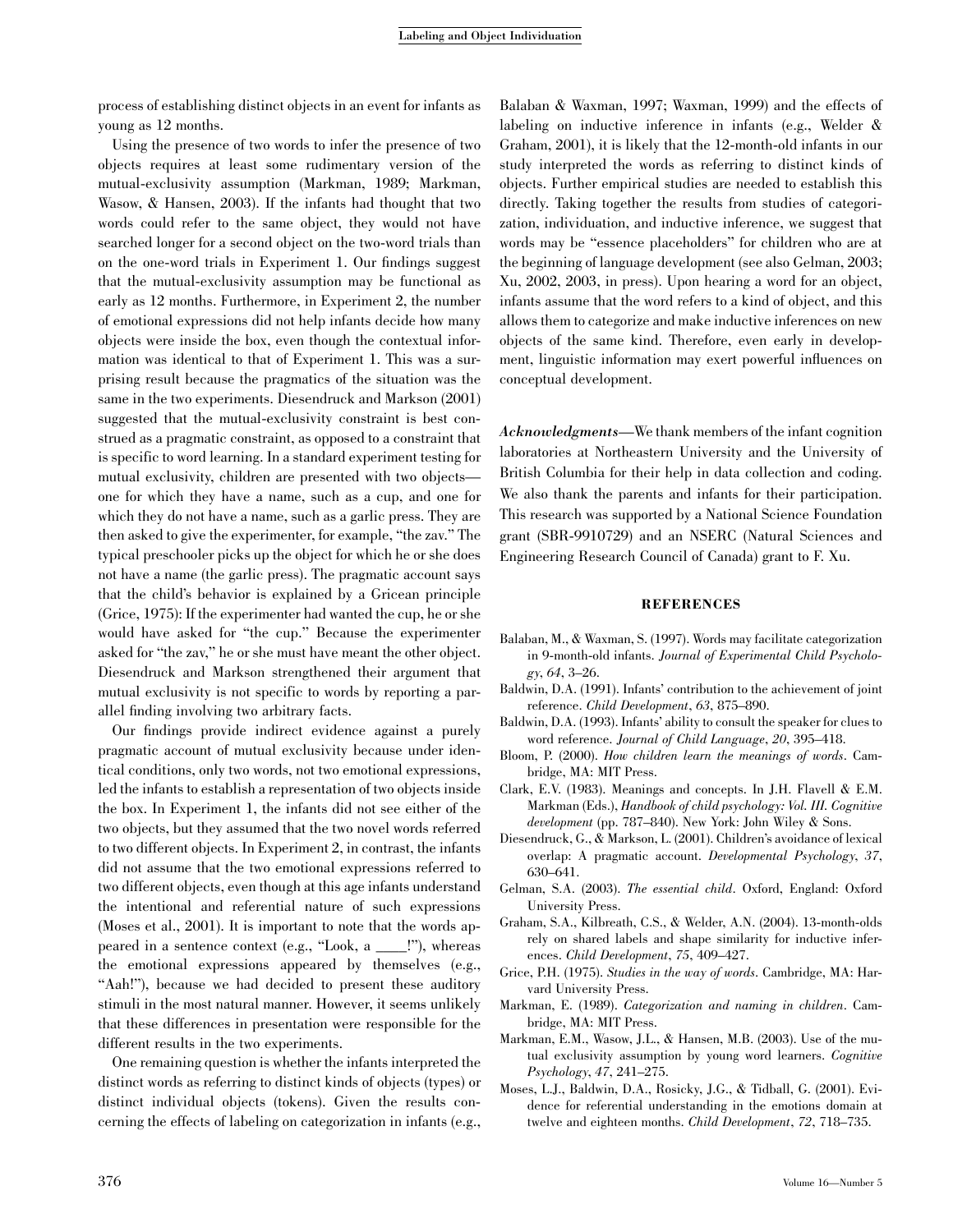process of establishing distinct objects in an event for infants as young as 12 months.

Using the presence of two words to infer the presence of two objects requires at least some rudimentary version of the mutual-exclusivity assumption (Markman, 1989; Markman, Wasow, & Hansen, 2003). If the infants had thought that two words could refer to the same object, they would not have searched longer for a second object on the two-word trials than on the one-word trials in Experiment 1. Our findings suggest that the mutual-exclusivity assumption may be functional as early as 12 months. Furthermore, in Experiment 2, the number of emotional expressions did not help infants decide how many objects were inside the box, even though the contextual information was identical to that of Experiment 1. This was a surprising result because the pragmatics of the situation was the same in the two experiments. Diesendruck and Markson (2001) suggested that the mutual-exclusivity constraint is best construed as a pragmatic constraint, as opposed to a constraint that is specific to word learning. In a standard experiment testing for mutual exclusivity, children are presented with two objects one for which they have a name, such as a cup, and one for which they do not have a name, such as a garlic press. They are then asked to give the experimenter, for example, ''the zav.'' The typical preschooler picks up the object for which he or she does not have a name (the garlic press). The pragmatic account says that the child's behavior is explained by a Gricean principle (Grice, 1975): If the experimenter had wanted the cup, he or she would have asked for ''the cup.'' Because the experimenter asked for ''the zav,'' he or she must have meant the other object. Diesendruck and Markson strengthened their argument that mutual exclusivity is not specific to words by reporting a parallel finding involving two arbitrary facts.

Our findings provide indirect evidence against a purely pragmatic account of mutual exclusivity because under identical conditions, only two words, not two emotional expressions, led the infants to establish a representation of two objects inside the box. In Experiment 1, the infants did not see either of the two objects, but they assumed that the two novel words referred to two different objects. In Experiment 2, in contrast, the infants did not assume that the two emotional expressions referred to two different objects, even though at this age infants understand the intentional and referential nature of such expressions (Moses et al., 2001). It is important to note that the words appeared in a sentence context (e.g., ''Look, a \_\_\_\_!''), whereas the emotional expressions appeared by themselves (e.g., "Aah!"), because we had decided to present these auditory stimuli in the most natural manner. However, it seems unlikely that these differences in presentation were responsible for the different results in the two experiments.

One remaining question is whether the infants interpreted the distinct words as referring to distinct kinds of objects (types) or distinct individual objects (tokens). Given the results concerning the effects of labeling on categorization in infants (e.g.,

Balaban & Waxman, 1997; Waxman, 1999) and the effects of labeling on inductive inference in infants (e.g., Welder & Graham, 2001), it is likely that the 12-month-old infants in our study interpreted the words as referring to distinct kinds of objects. Further empirical studies are needed to establish this directly. Taking together the results from studies of categorization, individuation, and inductive inference, we suggest that words may be "essence placeholders" for children who are at the beginning of language development (see also Gelman, 2003; Xu, 2002, 2003, in press). Upon hearing a word for an object, infants assume that the word refers to a kind of object, and this allows them to categorize and make inductive inferences on new objects of the same kind. Therefore, even early in development, linguistic information may exert powerful influences on conceptual development.

Acknowledgments—We thank members of the infant cognition laboratories at Northeastern University and the University of British Columbia for their help in data collection and coding. We also thank the parents and infants for their participation. This research was supported by a National Science Foundation grant (SBR-9910729) and an NSERC (Natural Sciences and Engineering Research Council of Canada) grant to F. Xu.

### **REFERENCES**

- Balaban, M., & Waxman, S. (1997). Words may facilitate categorization in 9-month-old infants. Journal of Experimental Child Psychology, 64, 3–26.
- Baldwin, D.A. (1991). Infants' contribution to the achievement of joint reference. Child Development, 63, 875–890.
- Baldwin, D.A. (1993). Infants' ability to consult the speaker for clues to word reference. Journal of Child Language, 20, 395–418.
- Bloom, P. (2000). How children learn the meanings of words. Cambridge, MA: MIT Press.
- Clark, E.V. (1983). Meanings and concepts. In J.H. Flavell & E.M. Markman (Eds.), Handbook of child psychology: Vol. III. Cognitive development (pp. 787–840). New York: John Wiley & Sons.
- Diesendruck, G., & Markson, L. (2001). Children's avoidance of lexical overlap: A pragmatic account. Developmental Psychology, 37, 630–641.
- Gelman, S.A. (2003). The essential child. Oxford, England: Oxford University Press.
- Graham, S.A., Kilbreath, C.S., & Welder, A.N. (2004). 13-month-olds rely on shared labels and shape similarity for inductive inferences. Child Development, 75, 409–427.
- Grice, P.H. (1975). Studies in the way of words. Cambridge, MA: Harvard University Press.
- Markman, E. (1989). Categorization and naming in children. Cambridge, MA: MIT Press.
- Markman, E.M., Wasow, J.L., & Hansen, M.B. (2003). Use of the mutual exclusivity assumption by young word learners. Cognitive Psychology, 47, 241–275.
- Moses, L.J., Baldwin, D.A., Rosicky, J.G., & Tidball, G. (2001). Evidence for referential understanding in the emotions domain at twelve and eighteen months. Child Development, 72, 718–735.